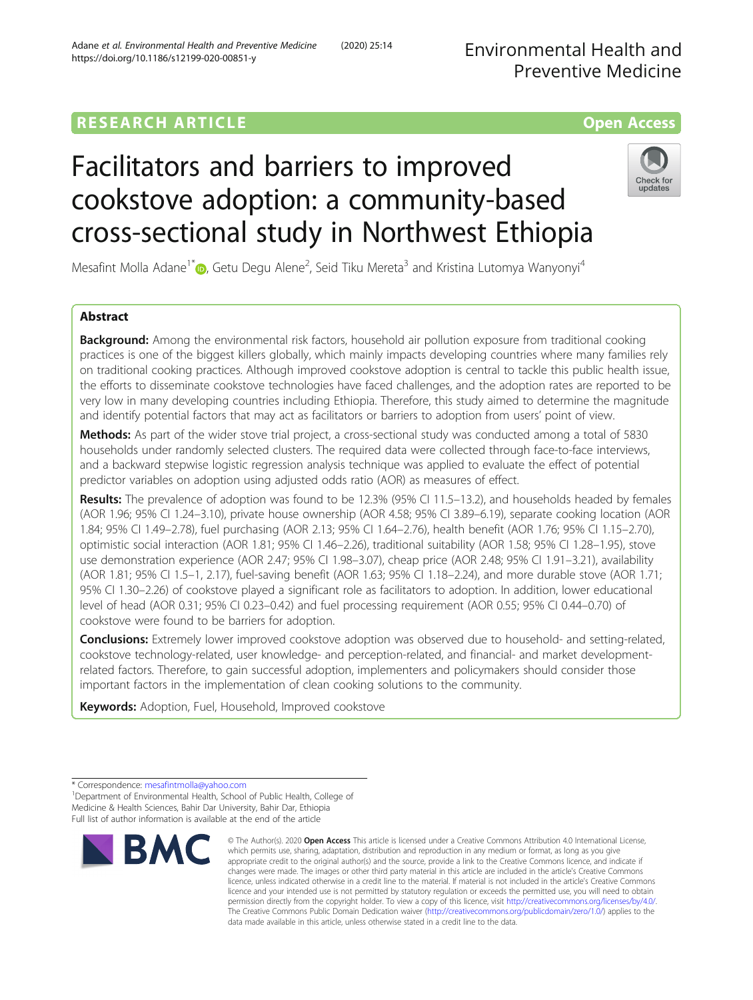## **RESEARCH ARTICLE Example 20 and 20 and 20 and 20 and 20 and 20 and 20 and 20 and 20 and 20 and 20 and 20 and 20 and 20 and 20 and 20 and 20 and 20 and 20 and 20 and 20 and 20 and 20 and 20 and 20 and 20 and 20 and 20 an**

# Facilitators and barriers to improved cookstove adoption: a community-based cross-sectional study in Northwest Ethiopia



Mesafint Molla Adane<sup>1\*</sup>®, Getu Degu Alene<sup>2</sup>, Seid Tiku Mereta<sup>3</sup> and Kristina Lutomya Wanyonyi<sup>4</sup>

### Abstract

**Background:** Among the environmental risk factors, household air pollution exposure from traditional cooking practices is one of the biggest killers globally, which mainly impacts developing countries where many families rely on traditional cooking practices. Although improved cookstove adoption is central to tackle this public health issue, the efforts to disseminate cookstove technologies have faced challenges, and the adoption rates are reported to be very low in many developing countries including Ethiopia. Therefore, this study aimed to determine the magnitude and identify potential factors that may act as facilitators or barriers to adoption from users' point of view.

Methods: As part of the wider stove trial project, a cross-sectional study was conducted among a total of 5830 households under randomly selected clusters. The required data were collected through face-to-face interviews, and a backward stepwise logistic regression analysis technique was applied to evaluate the effect of potential predictor variables on adoption using adjusted odds ratio (AOR) as measures of effect.

Results: The prevalence of adoption was found to be 12.3% (95% CI 11.5–13.2), and households headed by females (AOR 1.96; 95% CI 1.24–3.10), private house ownership (AOR 4.58; 95% CI 3.89–6.19), separate cooking location (AOR 1.84; 95% CI 1.49–2.78), fuel purchasing (AOR 2.13; 95% CI 1.64–2.76), health benefit (AOR 1.76; 95% CI 1.15–2.70), optimistic social interaction (AOR 1.81; 95% CI 1.46–2.26), traditional suitability (AOR 1.58; 95% CI 1.28–1.95), stove use demonstration experience (AOR 2.47; 95% CI 1.98–3.07), cheap price (AOR 2.48; 95% CI 1.91–3.21), availability (AOR 1.81; 95% CI 1.5–1, 2.17), fuel-saving benefit (AOR 1.63; 95% CI 1.18–2.24), and more durable stove (AOR 1.71; 95% CI 1.30–2.26) of cookstove played a significant role as facilitators to adoption. In addition, lower educational level of head (AOR 0.31; 95% CI 0.23–0.42) and fuel processing requirement (AOR 0.55; 95% CI 0.44–0.70) of cookstove were found to be barriers for adoption.

**Conclusions:** Extremely lower improved cookstove adoption was observed due to household- and setting-related, cookstove technology-related, user knowledge- and perception-related, and financial- and market developmentrelated factors. Therefore, to gain successful adoption, implementers and policymakers should consider those important factors in the implementation of clean cooking solutions to the community.

Keywords: Adoption, Fuel, Household, Improved cookstove

<sup>&</sup>lt;sup>1</sup>Department of Environmental Health, School of Public Health, College of Medicine & Health Sciences, Bahir Dar University, Bahir Dar, Ethiopia Full list of author information is available at the end of the article



<sup>©</sup> The Author(s), 2020 **Open Access** This article is licensed under a Creative Commons Attribution 4.0 International License, which permits use, sharing, adaptation, distribution and reproduction in any medium or format, as long as you give appropriate credit to the original author(s) and the source, provide a link to the Creative Commons licence, and indicate if changes were made. The images or other third party material in this article are included in the article's Creative Commons licence, unless indicated otherwise in a credit line to the material. If material is not included in the article's Creative Commons licence and your intended use is not permitted by statutory regulation or exceeds the permitted use, you will need to obtain permission directly from the copyright holder. To view a copy of this licence, visit [http://creativecommons.org/licenses/by/4.0/.](http://creativecommons.org/licenses/by/4.0/) The Creative Commons Public Domain Dedication waiver [\(http://creativecommons.org/publicdomain/zero/1.0/](http://creativecommons.org/publicdomain/zero/1.0/)) applies to the data made available in this article, unless otherwise stated in a credit line to the data.

<sup>\*</sup> Correspondence: [mesafintmolla@yahoo.com](mailto:mesafintmolla@yahoo.com) <sup>1</sup>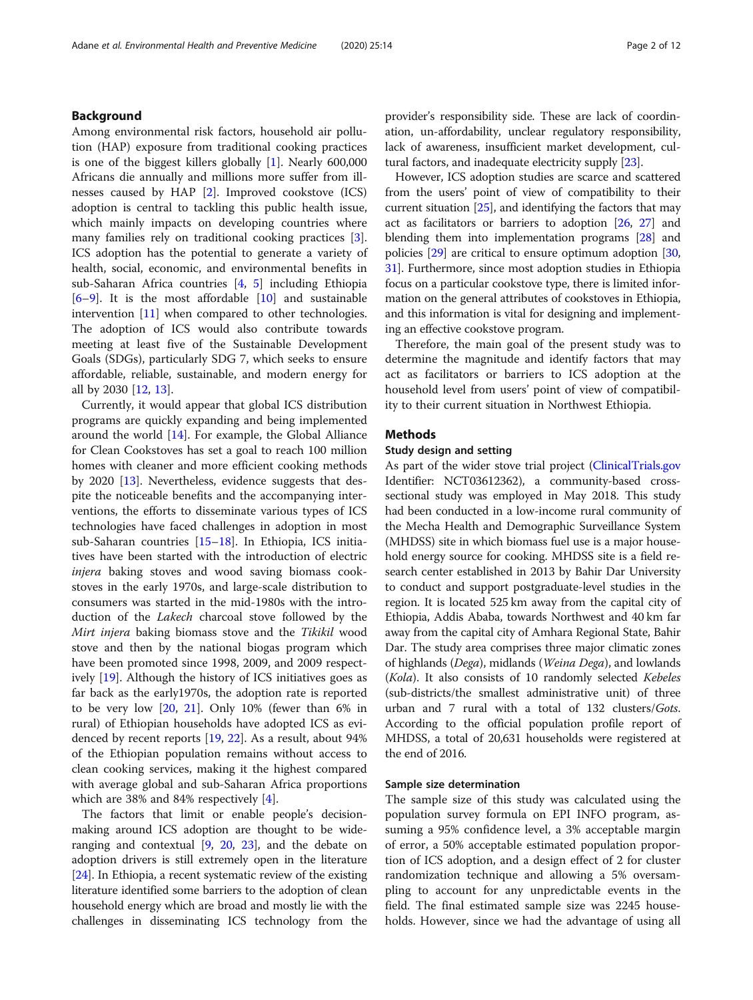#### Background

Among environmental risk factors, household air pollution (HAP) exposure from traditional cooking practices is one of the biggest killers globally [[1\]](#page-10-0). Nearly 600,000 Africans die annually and millions more suffer from illnesses caused by HAP [\[2](#page-10-0)]. Improved cookstove (ICS) adoption is central to tackling this public health issue, which mainly impacts on developing countries where many families rely on traditional cooking practices [\[3](#page-10-0)]. ICS adoption has the potential to generate a variety of health, social, economic, and environmental benefits in sub-Saharan Africa countries [\[4](#page-10-0), [5](#page-10-0)] including Ethiopia  $[6-9]$  $[6-9]$  $[6-9]$  $[6-9]$ . It is the most affordable  $[10]$  $[10]$  and sustainable intervention [\[11](#page-10-0)] when compared to other technologies. The adoption of ICS would also contribute towards meeting at least five of the Sustainable Development Goals (SDGs), particularly SDG 7, which seeks to ensure affordable, reliable, sustainable, and modern energy for all by 2030 [\[12](#page-10-0), [13](#page-10-0)].

Currently, it would appear that global ICS distribution programs are quickly expanding and being implemented around the world [\[14](#page-10-0)]. For example, the Global Alliance for Clean Cookstoves has set a goal to reach 100 million homes with cleaner and more efficient cooking methods by 2020 [[13\]](#page-10-0). Nevertheless, evidence suggests that despite the noticeable benefits and the accompanying interventions, the efforts to disseminate various types of ICS technologies have faced challenges in adoption in most sub-Saharan countries [\[15](#page-10-0)–[18\]](#page-10-0). In Ethiopia, ICS initiatives have been started with the introduction of electric injera baking stoves and wood saving biomass cookstoves in the early 1970s, and large-scale distribution to consumers was started in the mid-1980s with the introduction of the Lakech charcoal stove followed by the Mirt injera baking biomass stove and the Tikikil wood stove and then by the national biogas program which have been promoted since 1998, 2009, and 2009 respectively [[19](#page-10-0)]. Although the history of ICS initiatives goes as far back as the early1970s, the adoption rate is reported to be very low  $[20, 21]$  $[20, 21]$  $[20, 21]$  $[20, 21]$ . Only 10% (fewer than 6% in rural) of Ethiopian households have adopted ICS as evidenced by recent reports [\[19,](#page-10-0) [22\]](#page-10-0). As a result, about 94% of the Ethiopian population remains without access to clean cooking services, making it the highest compared with average global and sub-Saharan Africa proportions which are 38% and 84% respectively [\[4](#page-10-0)].

The factors that limit or enable people's decisionmaking around ICS adoption are thought to be wideranging and contextual [\[9,](#page-10-0) [20,](#page-10-0) [23\]](#page-10-0), and the debate on adoption drivers is still extremely open in the literature [[24](#page-10-0)]. In Ethiopia, a recent systematic review of the existing literature identified some barriers to the adoption of clean household energy which are broad and mostly lie with the challenges in disseminating ICS technology from the provider's responsibility side. These are lack of coordination, un-affordability, unclear regulatory responsibility, lack of awareness, insufficient market development, cultural factors, and inadequate electricity supply [\[23\]](#page-10-0).

However, ICS adoption studies are scarce and scattered from the users' point of view of compatibility to their current situation  $[25]$  $[25]$  $[25]$ , and identifying the factors that may act as facilitators or barriers to adoption [[26](#page-10-0), [27](#page-10-0)] and blending them into implementation programs [\[28\]](#page-10-0) and policies [\[29\]](#page-10-0) are critical to ensure optimum adoption [[30](#page-10-0), [31](#page-10-0)]. Furthermore, since most adoption studies in Ethiopia focus on a particular cookstove type, there is limited information on the general attributes of cookstoves in Ethiopia, and this information is vital for designing and implementing an effective cookstove program.

Therefore, the main goal of the present study was to determine the magnitude and identify factors that may act as facilitators or barriers to ICS adoption at the household level from users' point of view of compatibility to their current situation in Northwest Ethiopia.

#### **Methods**

#### Study design and setting

As part of the wider stove trial project [\(ClinicalTrials.gov](http://clinicaltrials.gov) Identifier: NCT03612362), a community-based crosssectional study was employed in May 2018. This study had been conducted in a low-income rural community of the Mecha Health and Demographic Surveillance System (MHDSS) site in which biomass fuel use is a major household energy source for cooking. MHDSS site is a field research center established in 2013 by Bahir Dar University to conduct and support postgraduate-level studies in the region. It is located 525 km away from the capital city of Ethiopia, Addis Ababa, towards Northwest and 40 km far away from the capital city of Amhara Regional State, Bahir Dar. The study area comprises three major climatic zones of highlands (Dega), midlands (Weina Dega), and lowlands (Kola). It also consists of 10 randomly selected Kebeles (sub-districts/the smallest administrative unit) of three urban and 7 rural with a total of 132 clusters/Gots. According to the official population profile report of MHDSS, a total of 20,631 households were registered at the end of 2016.

#### Sample size determination

The sample size of this study was calculated using the population survey formula on EPI INFO program, assuming a 95% confidence level, a 3% acceptable margin of error, a 50% acceptable estimated population proportion of ICS adoption, and a design effect of 2 for cluster randomization technique and allowing a 5% oversampling to account for any unpredictable events in the field. The final estimated sample size was 2245 households. However, since we had the advantage of using all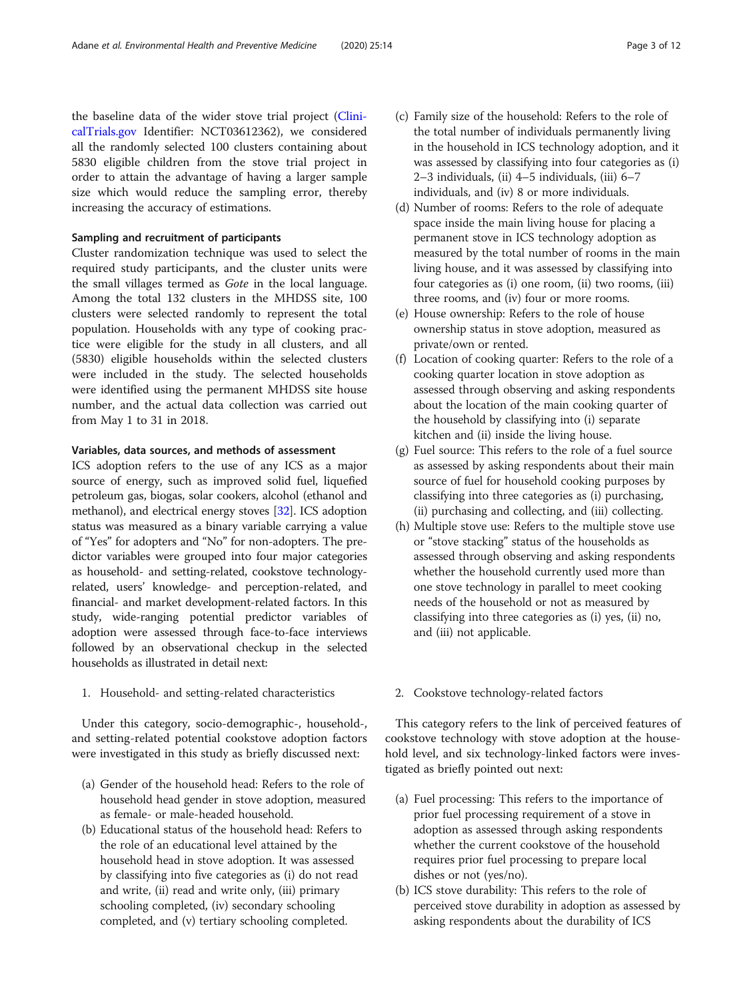the baseline data of the wider stove trial project [\(Clini](http://clinicaltrials.gov)[calTrials.gov](http://clinicaltrials.gov) Identifier: NCT03612362), we considered all the randomly selected 100 clusters containing about 5830 eligible children from the stove trial project in order to attain the advantage of having a larger sample size which would reduce the sampling error, thereby increasing the accuracy of estimations.

#### Sampling and recruitment of participants

Cluster randomization technique was used to select the required study participants, and the cluster units were the small villages termed as Gote in the local language. Among the total 132 clusters in the MHDSS site, 100 clusters were selected randomly to represent the total population. Households with any type of cooking practice were eligible for the study in all clusters, and all (5830) eligible households within the selected clusters were included in the study. The selected households were identified using the permanent MHDSS site house number, and the actual data collection was carried out from May 1 to 31 in 2018.

#### Variables, data sources, and methods of assessment

ICS adoption refers to the use of any ICS as a major source of energy, such as improved solid fuel, liquefied petroleum gas, biogas, solar cookers, alcohol (ethanol and methanol), and electrical energy stoves [\[32\]](#page-10-0). ICS adoption status was measured as a binary variable carrying a value of "Yes" for adopters and "No" for non-adopters. The predictor variables were grouped into four major categories as household- and setting-related, cookstove technologyrelated, users' knowledge- and perception-related, and financial- and market development-related factors. In this study, wide-ranging potential predictor variables of adoption were assessed through face-to-face interviews followed by an observational checkup in the selected households as illustrated in detail next:

1. Household- and setting-related characteristics

Under this category, socio-demographic-, household-, and setting-related potential cookstove adoption factors were investigated in this study as briefly discussed next:

- (a) Gender of the household head: Refers to the role of household head gender in stove adoption, measured as female- or male-headed household.
- (b) Educational status of the household head: Refers to the role of an educational level attained by the household head in stove adoption. It was assessed by classifying into five categories as (i) do not read and write, (ii) read and write only, (iii) primary schooling completed, (iv) secondary schooling completed, and (v) tertiary schooling completed.
- (c) Family size of the household: Refers to the role of the total number of individuals permanently living in the household in ICS technology adoption, and it was assessed by classifying into four categories as (i) 2–3 individuals, (ii) 4–5 individuals, (iii) 6–7 individuals, and (iv) 8 or more individuals.
- (d) Number of rooms: Refers to the role of adequate space inside the main living house for placing a permanent stove in ICS technology adoption as measured by the total number of rooms in the main living house, and it was assessed by classifying into four categories as (i) one room, (ii) two rooms, (iii) three rooms, and (iv) four or more rooms.
- (e) House ownership: Refers to the role of house ownership status in stove adoption, measured as private/own or rented.
- (f) Location of cooking quarter: Refers to the role of a cooking quarter location in stove adoption as assessed through observing and asking respondents about the location of the main cooking quarter of the household by classifying into (i) separate kitchen and (ii) inside the living house.
- (g) Fuel source: This refers to the role of a fuel source as assessed by asking respondents about their main source of fuel for household cooking purposes by classifying into three categories as (i) purchasing, (ii) purchasing and collecting, and (iii) collecting.
- (h) Multiple stove use: Refers to the multiple stove use or "stove stacking" status of the households as assessed through observing and asking respondents whether the household currently used more than one stove technology in parallel to meet cooking needs of the household or not as measured by classifying into three categories as (i) yes, (ii) no, and (iii) not applicable.

#### 2. Cookstove technology-related factors

This category refers to the link of perceived features of cookstove technology with stove adoption at the household level, and six technology-linked factors were investigated as briefly pointed out next:

- (a) Fuel processing: This refers to the importance of prior fuel processing requirement of a stove in adoption as assessed through asking respondents whether the current cookstove of the household requires prior fuel processing to prepare local dishes or not (yes/no).
- (b) ICS stove durability: This refers to the role of perceived stove durability in adoption as assessed by asking respondents about the durability of ICS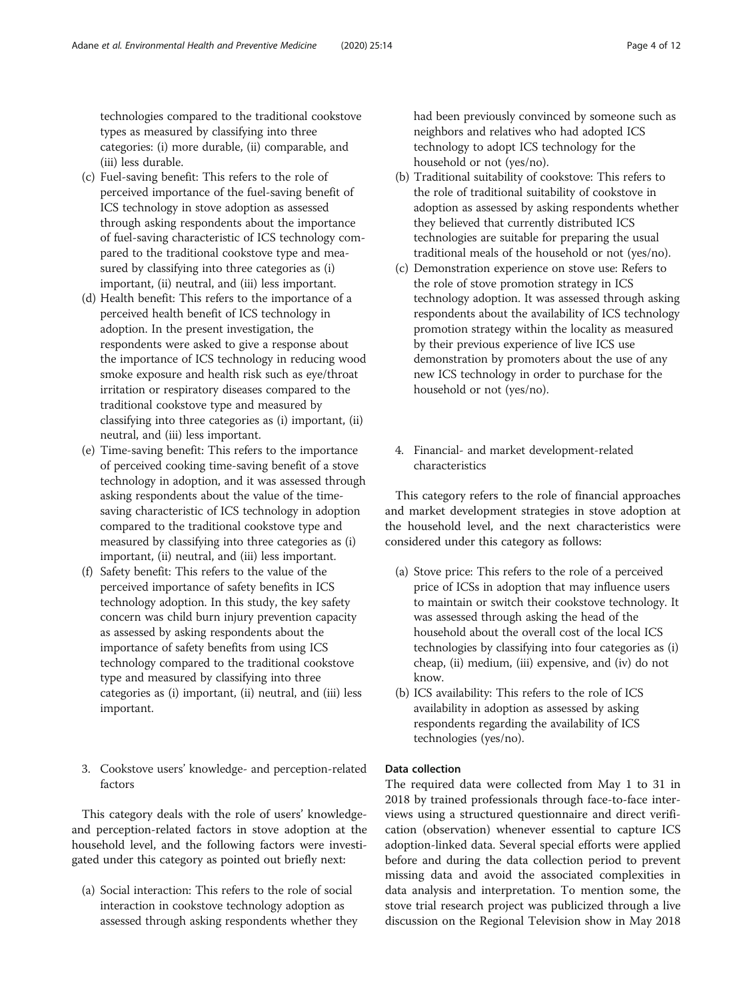technologies compared to the traditional cookstove types as measured by classifying into three categories: (i) more durable, (ii) comparable, and (iii) less durable.

- (c) Fuel-saving benefit: This refers to the role of perceived importance of the fuel-saving benefit of ICS technology in stove adoption as assessed through asking respondents about the importance of fuel-saving characteristic of ICS technology compared to the traditional cookstove type and measured by classifying into three categories as (i) important, (ii) neutral, and (iii) less important.
- (d) Health benefit: This refers to the importance of a perceived health benefit of ICS technology in adoption. In the present investigation, the respondents were asked to give a response about the importance of ICS technology in reducing wood smoke exposure and health risk such as eye/throat irritation or respiratory diseases compared to the traditional cookstove type and measured by classifying into three categories as (i) important, (ii) neutral, and (iii) less important.
- (e) Time-saving benefit: This refers to the importance of perceived cooking time-saving benefit of a stove technology in adoption, and it was assessed through asking respondents about the value of the timesaving characteristic of ICS technology in adoption compared to the traditional cookstove type and measured by classifying into three categories as (i) important, (ii) neutral, and (iii) less important.
- (f) Safety benefit: This refers to the value of the perceived importance of safety benefits in ICS technology adoption. In this study, the key safety concern was child burn injury prevention capacity as assessed by asking respondents about the importance of safety benefits from using ICS technology compared to the traditional cookstove type and measured by classifying into three categories as (i) important, (ii) neutral, and (iii) less important.
- 3. Cookstove users' knowledge- and perception-related factors

This category deals with the role of users' knowledgeand perception-related factors in stove adoption at the household level, and the following factors were investigated under this category as pointed out briefly next:

(a) Social interaction: This refers to the role of social interaction in cookstove technology adoption as assessed through asking respondents whether they

had been previously convinced by someone such as neighbors and relatives who had adopted ICS technology to adopt ICS technology for the household or not (yes/no).

- (b) Traditional suitability of cookstove: This refers to the role of traditional suitability of cookstove in adoption as assessed by asking respondents whether they believed that currently distributed ICS technologies are suitable for preparing the usual traditional meals of the household or not (yes/no).
- (c) Demonstration experience on stove use: Refers to the role of stove promotion strategy in ICS technology adoption. It was assessed through asking respondents about the availability of ICS technology promotion strategy within the locality as measured by their previous experience of live ICS use demonstration by promoters about the use of any new ICS technology in order to purchase for the household or not (yes/no).
- 4. Financial- and market development-related characteristics

This category refers to the role of financial approaches and market development strategies in stove adoption at the household level, and the next characteristics were considered under this category as follows:

- (a) Stove price: This refers to the role of a perceived price of ICSs in adoption that may influence users to maintain or switch their cookstove technology. It was assessed through asking the head of the household about the overall cost of the local ICS technologies by classifying into four categories as (i) cheap, (ii) medium, (iii) expensive, and (iv) do not know.
- (b) ICS availability: This refers to the role of ICS availability in adoption as assessed by asking respondents regarding the availability of ICS technologies (yes/no).

#### Data collection

The required data were collected from May 1 to 31 in 2018 by trained professionals through face-to-face interviews using a structured questionnaire and direct verification (observation) whenever essential to capture ICS adoption-linked data. Several special efforts were applied before and during the data collection period to prevent missing data and avoid the associated complexities in data analysis and interpretation. To mention some, the stove trial research project was publicized through a live discussion on the Regional Television show in May 2018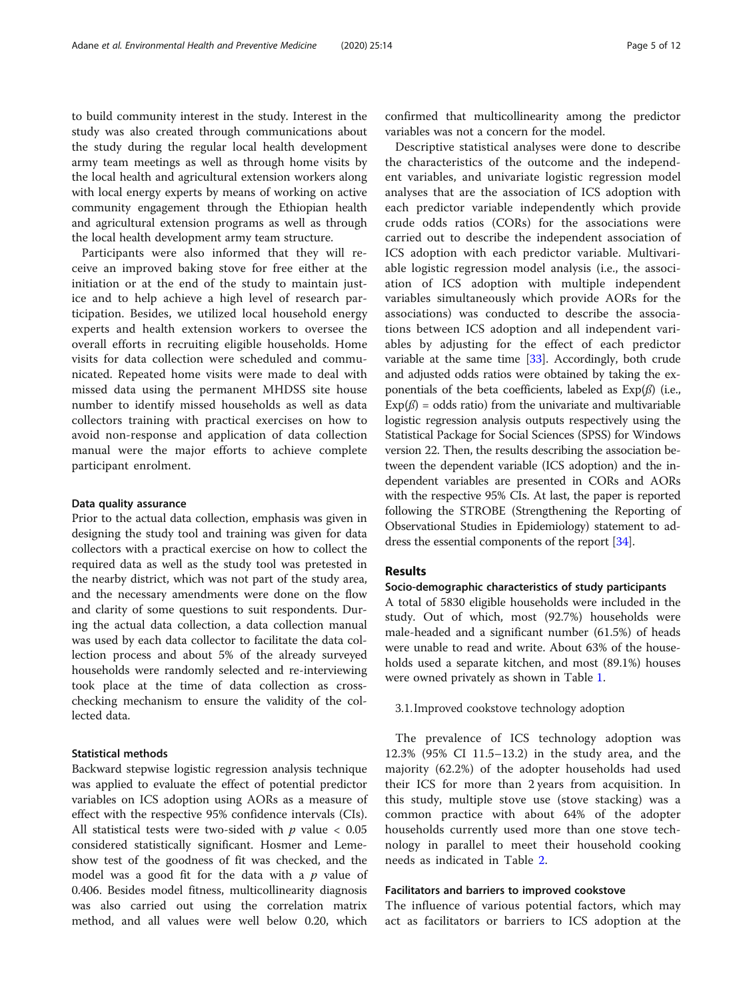to build community interest in the study. Interest in the study was also created through communications about the study during the regular local health development army team meetings as well as through home visits by the local health and agricultural extension workers along with local energy experts by means of working on active community engagement through the Ethiopian health and agricultural extension programs as well as through the local health development army team structure.

Participants were also informed that they will receive an improved baking stove for free either at the initiation or at the end of the study to maintain justice and to help achieve a high level of research participation. Besides, we utilized local household energy experts and health extension workers to oversee the overall efforts in recruiting eligible households. Home visits for data collection were scheduled and communicated. Repeated home visits were made to deal with missed data using the permanent MHDSS site house number to identify missed households as well as data collectors training with practical exercises on how to avoid non-response and application of data collection manual were the major efforts to achieve complete participant enrolment.

#### Data quality assurance

Prior to the actual data collection, emphasis was given in designing the study tool and training was given for data collectors with a practical exercise on how to collect the required data as well as the study tool was pretested in the nearby district, which was not part of the study area, and the necessary amendments were done on the flow and clarity of some questions to suit respondents. During the actual data collection, a data collection manual was used by each data collector to facilitate the data collection process and about 5% of the already surveyed households were randomly selected and re-interviewing took place at the time of data collection as crosschecking mechanism to ensure the validity of the collected data.

#### Statistical methods

Backward stepwise logistic regression analysis technique was applied to evaluate the effect of potential predictor variables on ICS adoption using AORs as a measure of effect with the respective 95% confidence intervals (CIs). All statistical tests were two-sided with  $p$  value  $< 0.05$ considered statistically significant. Hosmer and Lemeshow test of the goodness of fit was checked, and the model was a good fit for the data with a  $p$  value of 0.406. Besides model fitness, multicollinearity diagnosis was also carried out using the correlation matrix method, and all values were well below 0.20, which

confirmed that multicollinearity among the predictor variables was not a concern for the model.

Descriptive statistical analyses were done to describe the characteristics of the outcome and the independent variables, and univariate logistic regression model analyses that are the association of ICS adoption with each predictor variable independently which provide crude odds ratios (CORs) for the associations were carried out to describe the independent association of ICS adoption with each predictor variable. Multivariable logistic regression model analysis (i.e., the association of ICS adoption with multiple independent variables simultaneously which provide AORs for the associations) was conducted to describe the associations between ICS adoption and all independent variables by adjusting for the effect of each predictor variable at the same time [\[33\]](#page-11-0). Accordingly, both crude and adjusted odds ratios were obtained by taking the exponentials of the beta coefficients, labeled as  $Exp(\beta)$  (i.e.,  $Exp(\beta) = odds ratio)$  from the univariate and multivariable logistic regression analysis outputs respectively using the Statistical Package for Social Sciences (SPSS) for Windows version 22. Then, the results describing the association between the dependent variable (ICS adoption) and the independent variables are presented in CORs and AORs with the respective 95% CIs. At last, the paper is reported following the STROBE (Strengthening the Reporting of Observational Studies in Epidemiology) statement to ad-dress the essential components of the report [\[34](#page-11-0)].

#### Results

#### Socio-demographic characteristics of study participants

A total of 5830 eligible households were included in the study. Out of which, most (92.7%) households were male-headed and a significant number (61.5%) of heads were unable to read and write. About 63% of the households used a separate kitchen, and most (89.1%) houses were owned privately as shown in Table [1](#page-5-0).

#### 3.1.Improved cookstove technology adoption

The prevalence of ICS technology adoption was 12.3% (95% CI 11.5–13.2) in the study area, and the majority (62.2%) of the adopter households had used their ICS for more than 2 years from acquisition. In this study, multiple stove use (stove stacking) was a common practice with about 64% of the adopter households currently used more than one stove technology in parallel to meet their household cooking needs as indicated in Table [2](#page-5-0).

#### Facilitators and barriers to improved cookstove

The influence of various potential factors, which may act as facilitators or barriers to ICS adoption at the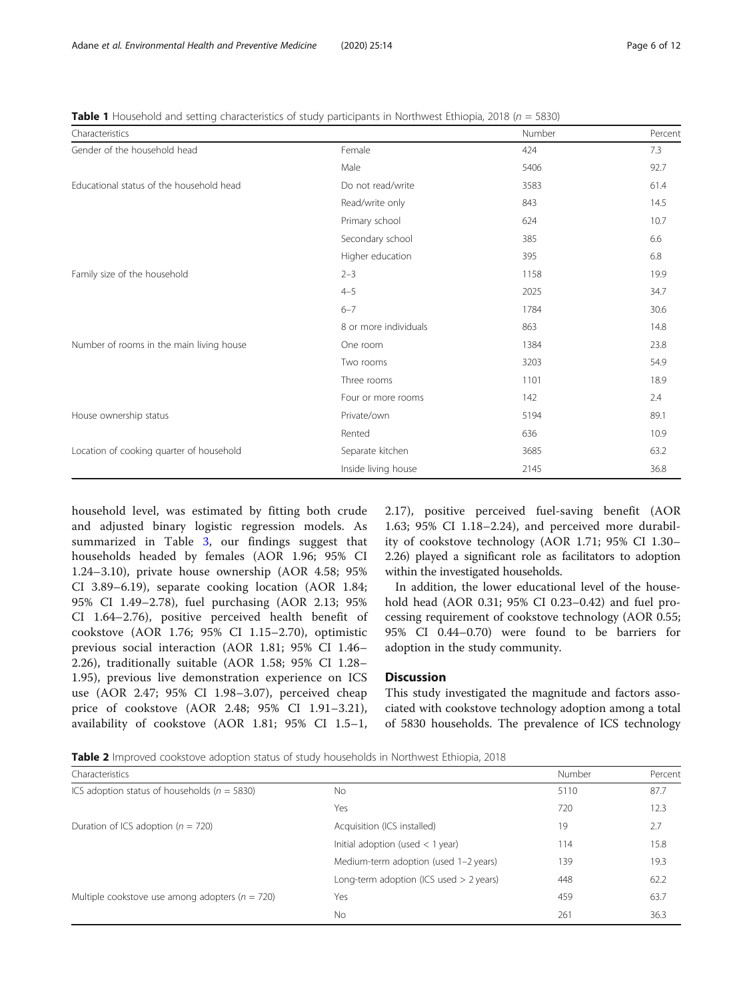<span id="page-5-0"></span>

| Table 1 Household and setting characteristics of study participants in Northwest Ethiopia, 2018 (n = 5830) |  |  |  |  |
|------------------------------------------------------------------------------------------------------------|--|--|--|--|
|                                                                                                            |  |  |  |  |

| Characteristics                          |                       | Number | Percent |
|------------------------------------------|-----------------------|--------|---------|
| Gender of the household head             | Female                | 424    | 7.3     |
|                                          | Male                  | 5406   | 92.7    |
| Educational status of the household head | Do not read/write     | 3583   | 61.4    |
|                                          | Read/write only       | 843    | 14.5    |
|                                          | Primary school        | 624    | 10.7    |
|                                          | Secondary school      | 385    | 6.6     |
|                                          | Higher education      | 395    | 6.8     |
| Family size of the household             | $2 - 3$               | 1158   | 19.9    |
|                                          | $4 - 5$               | 2025   | 34.7    |
|                                          | $6 - 7$               | 1784   | 30.6    |
|                                          | 8 or more individuals | 863    | 14.8    |
| Number of rooms in the main living house | One room              | 1384   | 23.8    |
|                                          | Two rooms             | 3203   | 54.9    |
|                                          | Three rooms           | 1101   | 18.9    |
|                                          | Four or more rooms    | 142    | 2.4     |
| House ownership status                   | Private/own           | 5194   | 89.1    |
|                                          | Rented                | 636    | 10.9    |
| Location of cooking quarter of household | Separate kitchen      | 3685   | 63.2    |
|                                          | Inside living house   | 2145   | 36.8    |

household level, was estimated by fitting both crude and adjusted binary logistic regression models. As summarized in Table [3](#page-6-0), our findings suggest that households headed by females (AOR 1.96; 95% CI 1.24–3.10), private house ownership (AOR 4.58; 95% CI 3.89–6.19), separate cooking location (AOR 1.84; 95% CI 1.49–2.78), fuel purchasing (AOR 2.13; 95% CI 1.64–2.76), positive perceived health benefit of cookstove (AOR 1.76; 95% CI 1.15–2.70), optimistic previous social interaction (AOR 1.81; 95% CI 1.46– 2.26), traditionally suitable (AOR 1.58; 95% CI 1.28– 1.95), previous live demonstration experience on ICS use (AOR 2.47; 95% CI 1.98–3.07), perceived cheap price of cookstove (AOR 2.48; 95% CI 1.91–3.21), availability of cookstove (AOR 1.81; 95% CI 1.5–1, 2.17), positive perceived fuel-saving benefit (AOR 1.63; 95% CI 1.18–2.24), and perceived more durability of cookstove technology (AOR 1.71; 95% CI 1.30– 2.26) played a significant role as facilitators to adoption within the investigated households.

In addition, the lower educational level of the household head (AOR 0.31; 95% CI 0.23–0.42) and fuel processing requirement of cookstove technology (AOR 0.55; 95% CI 0.44–0.70) were found to be barriers for adoption in the study community.

#### **Discussion**

This study investigated the magnitude and factors associated with cookstove technology adoption among a total of 5830 households. The prevalence of ICS technology

Table 2 Improved cookstove adoption status of study households in Northwest Ethiopia, 2018

| Characteristics                                     |                                           | Number | Percent |
|-----------------------------------------------------|-------------------------------------------|--------|---------|
| ICS adoption status of households ( $n = 5830$ )    | <b>No</b>                                 | 5110   | 87.7    |
|                                                     | Yes                                       | 720    | 12.3    |
| Duration of ICS adoption ( $n = 720$ )              | Acquisition (ICS installed)               | 19     | 2.7     |
|                                                     | Initial adoption (used $<$ 1 year)        | 114    | 15.8    |
|                                                     | Medium-term adoption (used 1-2 years)     | 139    | 19.3    |
|                                                     | Long-term adoption (ICS used $>$ 2 years) | 448    | 62.2    |
| Multiple cookstove use among adopters ( $n = 720$ ) | Yes                                       | 459    | 63.7    |
|                                                     | <b>No</b>                                 | 261    | 36.3    |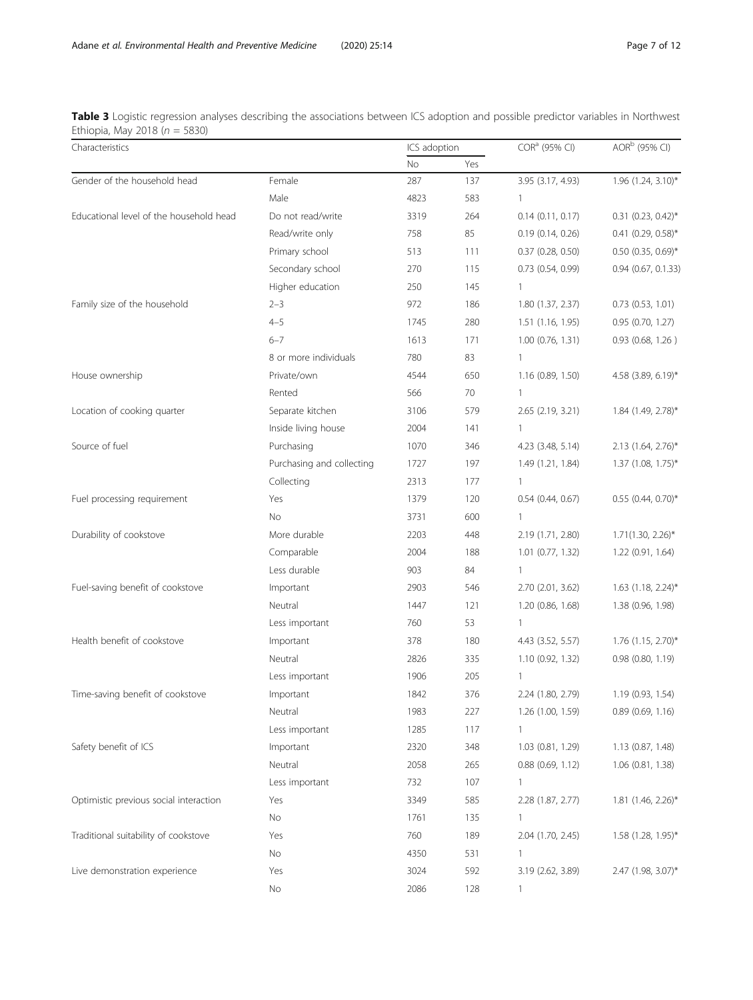<span id="page-6-0"></span>Table 3 Logistic regression analyses describing the associations between ICS adoption and possible predictor variables in Northwest Ethiopia, May 2018  $(n = 5830)$ 

| Characteristics                         |                           | ICS adoption |     | COR <sup>a</sup> (95% CI) | AOR <sup>b</sup> (95% CI) |  |
|-----------------------------------------|---------------------------|--------------|-----|---------------------------|---------------------------|--|
|                                         |                           | No           | Yes |                           |                           |  |
| Gender of the household head            | Female                    | 287          | 137 | 3.95 (3.17, 4.93)         | 1.96 (1.24, 3.10)*        |  |
|                                         | Male                      | 4823         | 583 | 1                         |                           |  |
| Educational level of the household head | Do not read/write         | 3319         | 264 | $0.14$ $(0.11, 0.17)$     | $0.31$ (0.23, 0.42)*      |  |
|                                         | Read/write only           | 758          | 85  | 0.19(0.14, 0.26)          | 0.41 (0.29, 0.58)*        |  |
|                                         | Primary school            | 513          | 111 | 0.37 (0.28, 0.50)         | 0.50 (0.35, 0.69)*        |  |
|                                         | Secondary school          | 270          | 115 | 0.73 (0.54, 0.99)         | 0.94 (0.67, 0.1.33)       |  |
|                                         | Higher education          | 250          | 145 | $\mathbf{1}$              |                           |  |
| Family size of the household            | $2 - 3$                   | 972          | 186 | 1.80 (1.37, 2.37)         | $0.73$ $(0.53, 1.01)$     |  |
|                                         | $4 - 5$                   | 1745         | 280 | 1.51 (1.16, 1.95)         | 0.95 (0.70, 1.27)         |  |
|                                         | $6 - 7$                   | 1613         | 171 | $1.00$ (0.76, 1.31)       | 0.93 (0.68, 1.26)         |  |
|                                         | 8 or more individuals     | 780          | 83  | $\mathbf{1}$              |                           |  |
| House ownership                         | Private/own               | 4544         | 650 | $1.16$ (0.89, 1.50)       | 4.58 (3.89, 6.19)*        |  |
|                                         | Rented                    | 566          | 70  | $\mathbf{1}$              |                           |  |
| Location of cooking quarter             | Separate kitchen          | 3106         | 579 | 2.65 (2.19, 3.21)         | 1.84 (1.49, 2.78)*        |  |
|                                         | Inside living house       | 2004         | 141 | $\mathbf{1}$              |                           |  |
| Source of fuel                          | Purchasing                | 1070         | 346 | 4.23 (3.48, 5.14)         | 2.13 (1.64, 2.76)*        |  |
|                                         | Purchasing and collecting | 1727         | 197 | 1.49 (1.21, 1.84)         | 1.37 (1.08, 1.75)*        |  |
|                                         | Collecting                | 2313         | 177 | $\mathbf{1}$              |                           |  |
| Fuel processing requirement             | Yes                       | 1379         | 120 | $0.54$ (0.44, 0.67)       | $0.55$ (0.44, 0.70)*      |  |
|                                         | No                        | 3731         | 600 | $\mathbf{1}$              |                           |  |
| Durability of cookstove                 | More durable              | 2203         | 448 | 2.19 (1.71, 2.80)         | $1.71(1.30, 2.26)^{*}$    |  |
|                                         | Comparable                | 2004         | 188 | 1.01 (0.77, 1.32)         | 1.22 (0.91, 1.64)         |  |
|                                         | Less durable              | 903          | 84  | 1                         |                           |  |
| Fuel-saving benefit of cookstove        | Important                 | 2903         | 546 | 2.70 (2.01, 3.62)         | $1.63$ (1.18, 2.24)*      |  |
|                                         | Neutral                   | 1447         | 121 | 1.20 (0.86, 1.68)         | 1.38 (0.96, 1.98)         |  |
|                                         | Less important            | 760          | 53  | 1                         |                           |  |
| Health benefit of cookstove             | Important                 | 378          | 180 | 4.43 (3.52, 5.57)         | 1.76 (1.15, 2.70)*        |  |
|                                         | Neutral                   | 2826         | 335 | 1.10 (0.92, 1.32)         | 0.98 (0.80, 1.19)         |  |
|                                         | Less important            | 1906         | 205 | 1                         |                           |  |
| Time-saving benefit of cookstove        | Important                 | 1842         | 376 | 2.24 (1.80, 2.79)         | 1.19 (0.93, 1.54)         |  |
|                                         | Neutral                   | 1983         | 227 | 1.26 (1.00, 1.59)         | $0.89$ (0.69, 1.16)       |  |
|                                         | Less important            | 1285         | 117 | 1                         |                           |  |
| Safety benefit of ICS                   | Important                 | 2320         | 348 | $1.03$ $(0.81, 1.29)$     | 1.13 (0.87, 1.48)         |  |
|                                         | Neutral                   | 2058         | 265 | $0.88$ $(0.69, 1.12)$     | 1.06 (0.81, 1.38)         |  |
|                                         | Less important            | 732          | 107 | 1                         |                           |  |
| Optimistic previous social interaction  | Yes                       | 3349         | 585 | 2.28 (1.87, 2.77)         | 1.81 (1.46, 2.26)*        |  |
|                                         | No                        | 1761         | 135 | 1                         |                           |  |
| Traditional suitability of cookstove    | Yes                       | 760          | 189 | 2.04 (1.70, 2.45)         | 1.58 (1.28, 1.95)*        |  |
|                                         | No                        | 4350         | 531 | 1                         |                           |  |
| Live demonstration experience           | Yes                       | 3024         | 592 | 3.19 (2.62, 3.89)         | 2.47 (1.98, 3.07)*        |  |
|                                         | No                        | 2086         | 128 | 1                         |                           |  |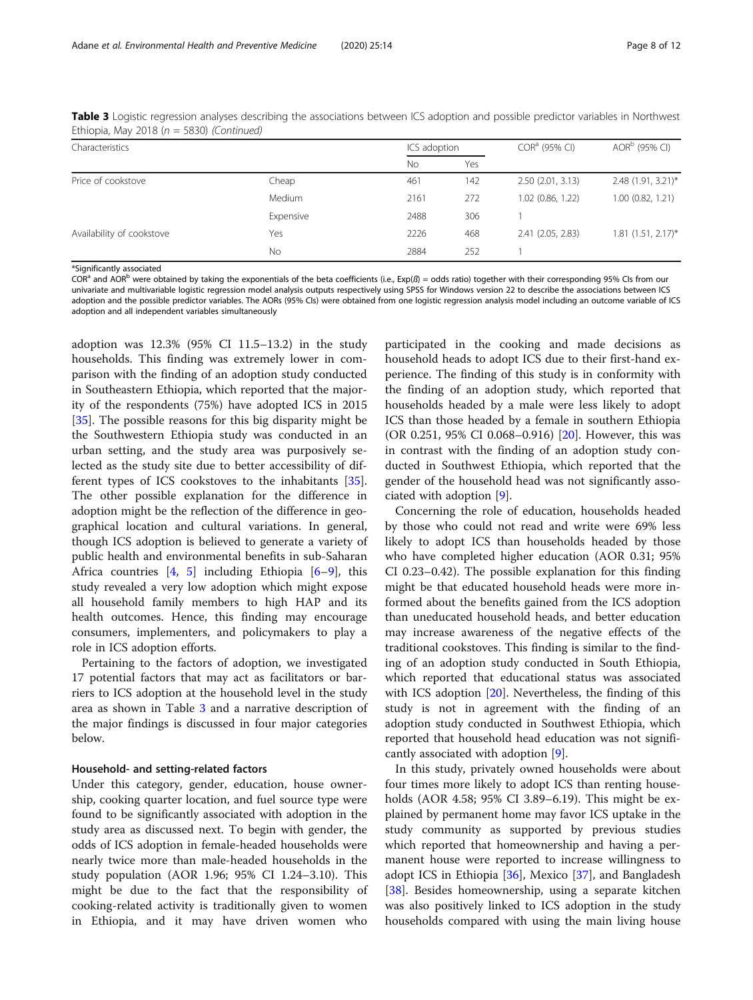| $\epsilon$ and $\epsilon$ and $\epsilon$ and $\epsilon$ and $\epsilon$ and $\epsilon$ and $\epsilon$ and $\epsilon$ and $\epsilon$ and $\epsilon$ and $\epsilon$ and $\epsilon$ and $\epsilon$ and $\epsilon$ and $\epsilon$ and $\epsilon$ and $\epsilon$ and $\epsilon$ and $\epsilon$ and $\epsilon$ and $\epsilon$ and $\epsilon$ and $\epsilon$ and $\epsilon$ and $\epsilon$ |              |     |                   |                           |  |  |  |
|------------------------------------------------------------------------------------------------------------------------------------------------------------------------------------------------------------------------------------------------------------------------------------------------------------------------------------------------------------------------------------|--------------|-----|-------------------|---------------------------|--|--|--|
|                                                                                                                                                                                                                                                                                                                                                                                    | ICS adoption |     | $CORa$ (95% CI)   | AOR <sup>b</sup> (95% CI) |  |  |  |
|                                                                                                                                                                                                                                                                                                                                                                                    | No           | Yes |                   |                           |  |  |  |
| Cheap                                                                                                                                                                                                                                                                                                                                                                              | 461          | 142 | 2.50(2.01, 3.13)  | 2.48 (1.91, 3.21)*        |  |  |  |
| Medium                                                                                                                                                                                                                                                                                                                                                                             | 2161         | 272 | 1.02 (0.86, 1.22) | 1.00(0.82, 1.21)          |  |  |  |
| Expensive                                                                                                                                                                                                                                                                                                                                                                          | 2488         | 306 |                   |                           |  |  |  |
| Yes                                                                                                                                                                                                                                                                                                                                                                                | 2226         | 468 | 2.41 (2.05, 2.83) | $1.81$ $(1.51, 2.17)^*$   |  |  |  |
| No                                                                                                                                                                                                                                                                                                                                                                                 | 2884         | 252 |                   |                           |  |  |  |
|                                                                                                                                                                                                                                                                                                                                                                                    |              |     |                   |                           |  |  |  |

Table 3 Logistic regression analyses describing the associations between ICS adoption and possible predictor variables in Northwest Ethiopia, May 2018 ( $n = 5830$ ) (Continued)

\*Significantly associated

 $COR<sup>a</sup>$  and AOR<sup>b</sup> were obtained by taking the exponentials of the beta coefficients (i.e., Exp( $\beta$ ) = odds ratio) together with their corresponding 95% CIs from our univariate and multivariable logistic regression model analysis outputs respectively using SPSS for Windows version 22 to describe the associations between ICS adoption and the possible predictor variables. The AORs (95% CIs) were obtained from one logistic regression analysis model including an outcome variable of ICS adoption and all independent variables simultaneously

adoption was 12.3% (95% CI 11.5–13.2) in the study households. This finding was extremely lower in comparison with the finding of an adoption study conducted in Southeastern Ethiopia, which reported that the majority of the respondents (75%) have adopted ICS in 2015 [[35\]](#page-11-0). The possible reasons for this big disparity might be the Southwestern Ethiopia study was conducted in an urban setting, and the study area was purposively selected as the study site due to better accessibility of different types of ICS cookstoves to the inhabitants [\[35](#page-11-0)]. The other possible explanation for the difference in adoption might be the reflection of the difference in geographical location and cultural variations. In general, though ICS adoption is believed to generate a variety of public health and environmental benefits in sub-Saharan Africa countries  $[4, 5]$  $[4, 5]$  $[4, 5]$  $[4, 5]$  including Ethiopia  $[6-9]$  $[6-9]$  $[6-9]$  $[6-9]$  $[6-9]$ , this study revealed a very low adoption which might expose all household family members to high HAP and its health outcomes. Hence, this finding may encourage consumers, implementers, and policymakers to play a role in ICS adoption efforts.

Pertaining to the factors of adoption, we investigated 17 potential factors that may act as facilitators or barriers to ICS adoption at the household level in the study area as shown in Table [3](#page-6-0) and a narrative description of the major findings is discussed in four major categories below.

#### Household- and setting-related factors

Under this category, gender, education, house ownership, cooking quarter location, and fuel source type were found to be significantly associated with adoption in the study area as discussed next. To begin with gender, the odds of ICS adoption in female-headed households were nearly twice more than male-headed households in the study population (AOR 1.96; 95% CI 1.24–3.10). This might be due to the fact that the responsibility of cooking-related activity is traditionally given to women in Ethiopia, and it may have driven women who

participated in the cooking and made decisions as household heads to adopt ICS due to their first-hand experience. The finding of this study is in conformity with the finding of an adoption study, which reported that households headed by a male were less likely to adopt ICS than those headed by a female in southern Ethiopia (OR 0.251, 95% CI 0.068–0.916) [[20\]](#page-10-0). However, this was in contrast with the finding of an adoption study conducted in Southwest Ethiopia, which reported that the gender of the household head was not significantly associated with adoption [[9\]](#page-10-0).

Concerning the role of education, households headed by those who could not read and write were 69% less likely to adopt ICS than households headed by those who have completed higher education (AOR 0.31; 95% CI 0.23–0.42). The possible explanation for this finding might be that educated household heads were more informed about the benefits gained from the ICS adoption than uneducated household heads, and better education may increase awareness of the negative effects of the traditional cookstoves. This finding is similar to the finding of an adoption study conducted in South Ethiopia, which reported that educational status was associated with ICS adoption [\[20](#page-10-0)]. Nevertheless, the finding of this study is not in agreement with the finding of an adoption study conducted in Southwest Ethiopia, which reported that household head education was not significantly associated with adoption [\[9](#page-10-0)].

In this study, privately owned households were about four times more likely to adopt ICS than renting households (AOR 4.58; 95% CI 3.89–6.19). This might be explained by permanent home may favor ICS uptake in the study community as supported by previous studies which reported that homeownership and having a permanent house were reported to increase willingness to adopt ICS in Ethiopia [[36\]](#page-11-0), Mexico [[37\]](#page-11-0), and Bangladesh [[38\]](#page-11-0). Besides homeownership, using a separate kitchen was also positively linked to ICS adoption in the study households compared with using the main living house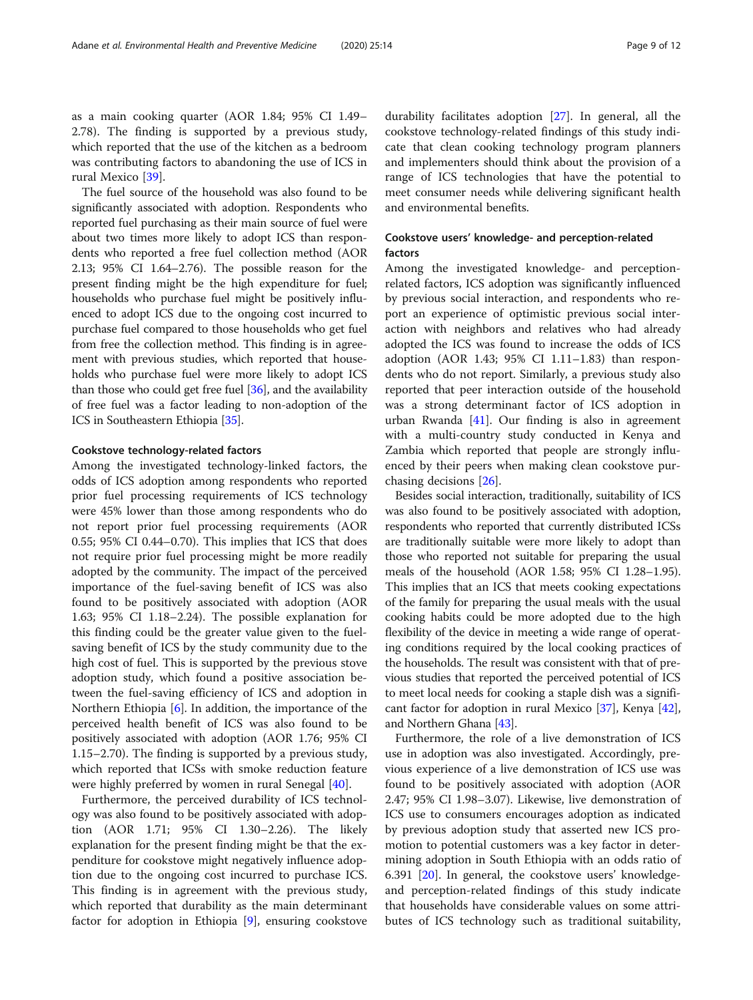as a main cooking quarter (AOR 1.84; 95% CI 1.49– 2.78). The finding is supported by a previous study, which reported that the use of the kitchen as a bedroom was contributing factors to abandoning the use of ICS in rural Mexico [[39\]](#page-11-0).

The fuel source of the household was also found to be significantly associated with adoption. Respondents who reported fuel purchasing as their main source of fuel were about two times more likely to adopt ICS than respondents who reported a free fuel collection method (AOR 2.13; 95% CI 1.64–2.76). The possible reason for the present finding might be the high expenditure for fuel; households who purchase fuel might be positively influenced to adopt ICS due to the ongoing cost incurred to purchase fuel compared to those households who get fuel from free the collection method. This finding is in agreement with previous studies, which reported that households who purchase fuel were more likely to adopt ICS than those who could get free fuel  $[36]$  $[36]$ , and the availability of free fuel was a factor leading to non-adoption of the ICS in Southeastern Ethiopia [\[35\]](#page-11-0).

#### Cookstove technology-related factors

Among the investigated technology-linked factors, the odds of ICS adoption among respondents who reported prior fuel processing requirements of ICS technology were 45% lower than those among respondents who do not report prior fuel processing requirements (AOR 0.55; 95% CI 0.44–0.70). This implies that ICS that does not require prior fuel processing might be more readily adopted by the community. The impact of the perceived importance of the fuel-saving benefit of ICS was also found to be positively associated with adoption (AOR 1.63; 95% CI 1.18–2.24). The possible explanation for this finding could be the greater value given to the fuelsaving benefit of ICS by the study community due to the high cost of fuel. This is supported by the previous stove adoption study, which found a positive association between the fuel-saving efficiency of ICS and adoption in Northern Ethiopia [[6\]](#page-10-0). In addition, the importance of the perceived health benefit of ICS was also found to be positively associated with adoption (AOR 1.76; 95% CI 1.15–2.70). The finding is supported by a previous study, which reported that ICSs with smoke reduction feature were highly preferred by women in rural Senegal [\[40\]](#page-11-0).

Furthermore, the perceived durability of ICS technology was also found to be positively associated with adoption (AOR 1.71; 95% CI 1.30–2.26). The likely explanation for the present finding might be that the expenditure for cookstove might negatively influence adoption due to the ongoing cost incurred to purchase ICS. This finding is in agreement with the previous study, which reported that durability as the main determinant factor for adoption in Ethiopia [[9](#page-10-0)], ensuring cookstove

durability facilitates adoption [\[27\]](#page-10-0). In general, all the cookstove technology-related findings of this study indicate that clean cooking technology program planners and implementers should think about the provision of a range of ICS technologies that have the potential to meet consumer needs while delivering significant health and environmental benefits.

#### Cookstove users' knowledge- and perception-related factors

Among the investigated knowledge- and perceptionrelated factors, ICS adoption was significantly influenced by previous social interaction, and respondents who report an experience of optimistic previous social interaction with neighbors and relatives who had already adopted the ICS was found to increase the odds of ICS adoption (AOR 1.43; 95% CI 1.11–1.83) than respondents who do not report. Similarly, a previous study also reported that peer interaction outside of the household was a strong determinant factor of ICS adoption in urban Rwanda [\[41](#page-11-0)]. Our finding is also in agreement with a multi-country study conducted in Kenya and Zambia which reported that people are strongly influenced by their peers when making clean cookstove purchasing decisions [[26](#page-10-0)].

Besides social interaction, traditionally, suitability of ICS was also found to be positively associated with adoption, respondents who reported that currently distributed ICSs are traditionally suitable were more likely to adopt than those who reported not suitable for preparing the usual meals of the household (AOR 1.58; 95% CI 1.28–1.95). This implies that an ICS that meets cooking expectations of the family for preparing the usual meals with the usual cooking habits could be more adopted due to the high flexibility of the device in meeting a wide range of operating conditions required by the local cooking practices of the households. The result was consistent with that of previous studies that reported the perceived potential of ICS to meet local needs for cooking a staple dish was a significant factor for adoption in rural Mexico [[37](#page-11-0)], Kenya [[42](#page-11-0)], and Northern Ghana [\[43\]](#page-11-0).

Furthermore, the role of a live demonstration of ICS use in adoption was also investigated. Accordingly, previous experience of a live demonstration of ICS use was found to be positively associated with adoption (AOR 2.47; 95% CI 1.98–3.07). Likewise, live demonstration of ICS use to consumers encourages adoption as indicated by previous adoption study that asserted new ICS promotion to potential customers was a key factor in determining adoption in South Ethiopia with an odds ratio of 6.391 [[20\]](#page-10-0). In general, the cookstove users' knowledgeand perception-related findings of this study indicate that households have considerable values on some attributes of ICS technology such as traditional suitability,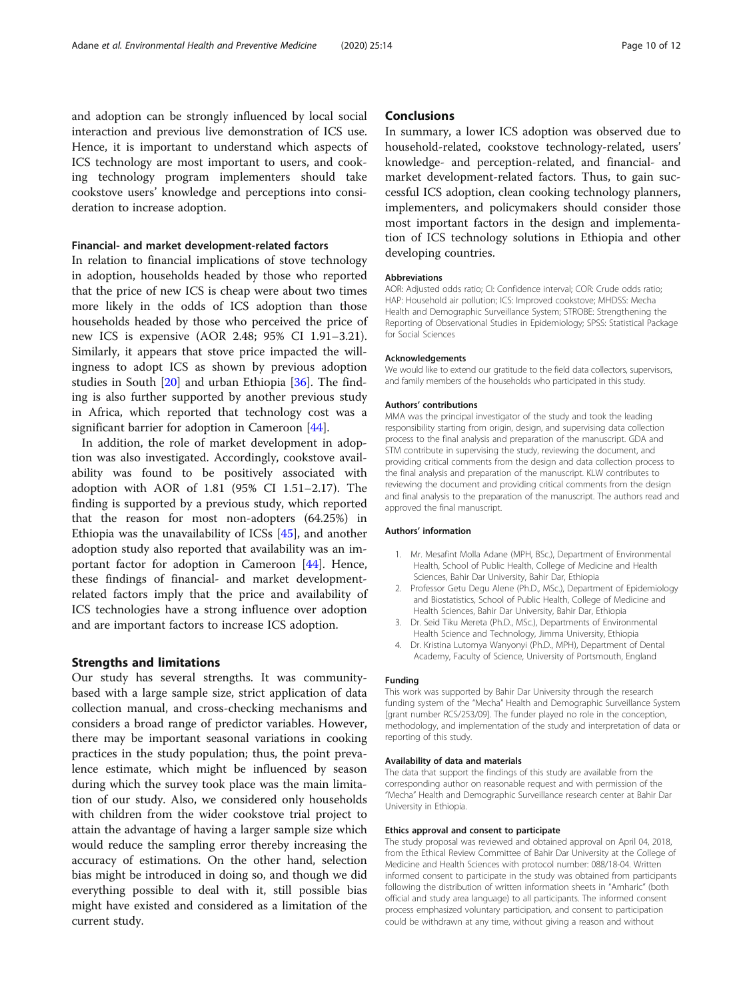and adoption can be strongly influenced by local social interaction and previous live demonstration of ICS use. Hence, it is important to understand which aspects of ICS technology are most important to users, and cooking technology program implementers should take cookstove users' knowledge and perceptions into consideration to increase adoption.

#### Financial- and market development-related factors

In relation to financial implications of stove technology in adoption, households headed by those who reported that the price of new ICS is cheap were about two times more likely in the odds of ICS adoption than those households headed by those who perceived the price of new ICS is expensive (AOR 2.48; 95% CI 1.91–3.21). Similarly, it appears that stove price impacted the willingness to adopt ICS as shown by previous adoption studies in South [\[20\]](#page-10-0) and urban Ethiopia [[36\]](#page-11-0). The finding is also further supported by another previous study in Africa, which reported that technology cost was a significant barrier for adoption in Cameroon [[44](#page-11-0)].

In addition, the role of market development in adoption was also investigated. Accordingly, cookstove availability was found to be positively associated with adoption with AOR of 1.81 (95% CI 1.51–2.17). The finding is supported by a previous study, which reported that the reason for most non-adopters (64.25%) in Ethiopia was the unavailability of ICSs [\[45](#page-11-0)], and another adoption study also reported that availability was an important factor for adoption in Cameroon [\[44\]](#page-11-0). Hence, these findings of financial- and market developmentrelated factors imply that the price and availability of ICS technologies have a strong influence over adoption and are important factors to increase ICS adoption.

#### Strengths and limitations

Our study has several strengths. It was communitybased with a large sample size, strict application of data collection manual, and cross-checking mechanisms and considers a broad range of predictor variables. However, there may be important seasonal variations in cooking practices in the study population; thus, the point prevalence estimate, which might be influenced by season during which the survey took place was the main limitation of our study. Also, we considered only households with children from the wider cookstove trial project to attain the advantage of having a larger sample size which would reduce the sampling error thereby increasing the accuracy of estimations. On the other hand, selection bias might be introduced in doing so, and though we did everything possible to deal with it, still possible bias might have existed and considered as a limitation of the current study.

#### **Conclusions**

In summary, a lower ICS adoption was observed due to household-related, cookstove technology-related, users' knowledge- and perception-related, and financial- and market development-related factors. Thus, to gain successful ICS adoption, clean cooking technology planners, implementers, and policymakers should consider those most important factors in the design and implementation of ICS technology solutions in Ethiopia and other developing countries.

#### Abbreviations

AOR: Adjusted odds ratio; CI: Confidence interval; COR: Crude odds ratio; HAP: Household air pollution; ICS: Improved cookstove; MHDSS: Mecha Health and Demographic Surveillance System; STROBE: Strengthening the Reporting of Observational Studies in Epidemiology; SPSS: Statistical Package for Social Sciences

#### Acknowledgements

We would like to extend our gratitude to the field data collectors, supervisors, and family members of the households who participated in this study.

#### Authors' contributions

MMA was the principal investigator of the study and took the leading responsibility starting from origin, design, and supervising data collection process to the final analysis and preparation of the manuscript. GDA and STM contribute in supervising the study, reviewing the document, and providing critical comments from the design and data collection process to the final analysis and preparation of the manuscript. KLW contributes to reviewing the document and providing critical comments from the design and final analysis to the preparation of the manuscript. The authors read and approved the final manuscript.

#### Authors' information

- 1. Mr. Mesafint Molla Adane (MPH, BSc.), Department of Environmental Health, School of Public Health, College of Medicine and Health Sciences, Bahir Dar University, Bahir Dar, Ethiopia
- 2. Professor Getu Degu Alene (Ph.D., MSc.), Department of Epidemiology and Biostatistics, School of Public Health, College of Medicine and Health Sciences, Bahir Dar University, Bahir Dar, Ethiopia
- 3. Dr. Seid Tiku Mereta (Ph.D., MSc.), Departments of Environmental Health Science and Technology, Jimma University, Ethiopia
- 4. Dr. Kristina Lutomya Wanyonyi (Ph.D., MPH), Department of Dental Academy, Faculty of Science, University of Portsmouth, England

#### Funding

This work was supported by Bahir Dar University through the research funding system of the "Mecha" Health and Demographic Surveillance System [grant number RCS/253/09]. The funder played no role in the conception, methodology, and implementation of the study and interpretation of data or reporting of this study.

#### Availability of data and materials

The data that support the findings of this study are available from the corresponding author on reasonable request and with permission of the "Mecha" Health and Demographic Surveillance research center at Bahir Dar University in Ethiopia.

#### Ethics approval and consent to participate

The study proposal was reviewed and obtained approval on April 04, 2018, from the Ethical Review Committee of Bahir Dar University at the College of Medicine and Health Sciences with protocol number: 088/18-04. Written informed consent to participate in the study was obtained from participants following the distribution of written information sheets in "Amharic" (both official and study area language) to all participants. The informed consent process emphasized voluntary participation, and consent to participation could be withdrawn at any time, without giving a reason and without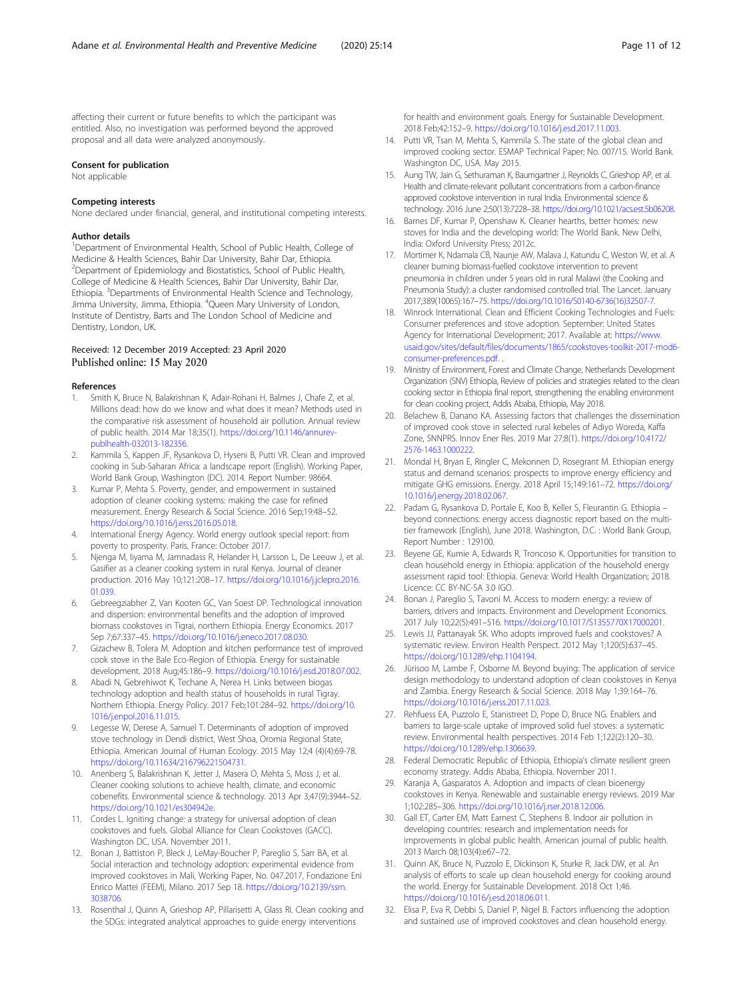<span id="page-10-0"></span>affecting their current or future benefits to which the participant was entitled. Also, no investigation was performed beyond the approved proposal and all data were analyzed anonymously.

#### Consent for publication

Not applicable

#### Competing interests

None declared under financial, general, and institutional competing interests.

#### Author details

<sup>1</sup>Department of Environmental Health, School of Public Health, College of Medicine & Health Sciences, Bahir Dar University, Bahir Dar, Ethiopia. <sup>2</sup> Department of Epidemiology and Biostatistics, School of Public Health, College of Medicine & Health Sciences, Bahir Dar University, Bahir Dar, Ethiopia. <sup>3</sup>Departments of Environmental Health Science and Technology, Jimma University, Jimma, Ethiopia. <sup>4</sup> Queen Mary University of London, Institute of Dentistry, Barts and The London School of Medicine and Dentistry, London, UK.

#### Received: 12 December 2019 Accepted: 23 April 2020 Published online: 15 May 2020

#### References

- 1. Smith K, Bruce N, Balakrishnan K, Adair-Rohani H, Balmes J, Chafe Z, et al. Millions dead: how do we know and what does it mean? Methods used in the comparative risk assessment of household air pollution. Annual review of public health. 2014 Mar 18;35(1). [https://doi.org/10.1146/annurev](https://doi.org/10.1146/annurev-publhealth-032013-182356)[publhealth-032013-182356.](https://doi.org/10.1146/annurev-publhealth-032013-182356)
- 2. Kammila S, Kappen JF, Rysankova D, Hyseni B, Putti VR. Clean and improved cooking in Sub-Saharan Africa: a landscape report (English). Working Paper, World Bank Group, Washington (DC). 2014. Report Number: 98664.
- 3. Kumar P, Mehta S. Poverty, gender, and empowerment in sustained adoption of cleaner cooking systems: making the case for refined measurement. Energy Research & Social Science. 2016 Sep;19:48–52. [https://doi.org/10.1016/j.erss.2016.05.018.](https://doi.org/10.1016/j.erss.2016.05.018)
- 4. International Energy Agency. World energy outlook special report: from poverty to prosperity. Paris, France: October 2017.
- 5. Njenga M, Iiyama M, Jamnadass R, Helander H, Larsson L, De Leeuw J, et al. Gasifier as a cleaner cooking system in rural Kenya. Journal of cleaner production. 2016 May 10;121:208–17. [https://doi.org/10.1016/j.jclepro.2016.](https://doi.org/10.1016/j.jclepro.2016.01.039) [01.039.](https://doi.org/10.1016/j.jclepro.2016.01.039)
- 6. Gebreegziabher Z, Van Kooten GC, Van Soest DP. Technological innovation and dispersion: environmental benefits and the adoption of improved biomass cookstoves in Tigrai, northern Ethiopia. Energy Economics. 2017 Sep 7;67:337–45. [https://doi.org/10.1016/j.eneco.2017.08.030.](https://doi.org/10.1016/j.eneco.2017.08.030)
- 7. Gizachew B, Tolera M. Adoption and kitchen performance test of improved cook stove in the Bale Eco-Region of Ethiopia. Energy for sustainable development. 2018 Aug;45:186–9. <https://doi.org/10.1016/j.esd.2018.07.002>.
- 8. Abadi N, Gebrehiwot K, Techane A, Nerea H. Links between biogas technology adoption and health status of households in rural Tigray. Northern Ethiopia. Energy Policy. 2017 Feb;101:284–92. [https://doi.org/10.](https://doi.org/10.1016/j.enpol.2016.11.015) [1016/j.enpol.2016.11.015](https://doi.org/10.1016/j.enpol.2016.11.015).
- 9. Legesse W, Derese A, Samuel T. Determinants of adoption of improved stove technology in Dendi district, West Shoa, Oromia Regional State, Ethiopia. American Journal of Human Ecology. 2015 May 12;4 (4)(4):69-78. <https://doi.org/10.11634/216796221504731>.
- 10. Anenberg S, Balakrishnan K, Jetter J, Masera O, Mehta S, Moss J, et al. Cleaner cooking solutions to achieve health, climate, and economic cobenefits. Environmental science & technology. 2013 Apr 3;47(9):3944–52. [https://doi.org/10.1021/es304942e.](https://doi.org/10.1021/es304942e)
- 11. Cordes L. Igniting change: a strategy for universal adoption of clean cookstoves and fuels. Global Alliance for Clean Cookstoves (GACC). Washington DC, USA. November 2011.
- 12. Bonan J, Battiston P, Bleck J, LeMay-Boucher P, Pareglio S, Sarr BA, et al. Social interaction and technology adoption: experimental evidence from improved cookstoves in Mali, Working Paper, No. 047.2017, Fondazione Eni Enrico Mattei (FEEM), Milano. 2017 Sep 18. [https://doi.org/10.2139/ssrn.](https://doi.org/10.2139/ssrn.3038706) [3038706.](https://doi.org/10.2139/ssrn.3038706)
- 13. Rosenthal J, Quinn A, Grieshop AP, Pillarisetti A, Glass RI. Clean cooking and the SDGs: integrated analytical approaches to guide energy interventions

for health and environment goals. Energy for Sustainable Development. 2018 Feb;42:152–9. [https://doi.org/10.1016/j.esd.2017.11.003.](https://doi.org/10.1016/j.esd.2017.11.003)

- 14. Putti VR, Tsan M, Mehta S, Kammila S. The state of the global clean and improved cooking sector. ESMAP Technical Paper; No. 007/15. World Bank. Washington DC, USA. May 2015.
- 15. Aung TW, Jain G, Sethuraman K, Baumgartner J, Reynolds C, Grieshop AP, et al. Health and climate-relevant pollutant concentrations from a carbon-finance approved cookstove intervention in rural India. Environmental science & technology. 2016 June 2;50(13):7228–38. [https://doi.org/10.1021/acs.est.5b06208.](https://doi.org/10.1021/acs.est.5b06208)
- 16. Barnes DF, Kumar P, Openshaw K. Cleaner hearths, better homes: new stoves for India and the developing world: The World Bank. New Delhi, India: Oxford University Press; 2012c.
- 17. Mortimer K, Ndamala CB, Naunje AW, Malava J, Katundu C, Weston W, et al. A cleaner burning biomass-fuelled cookstove intervention to prevent pneumonia in children under 5 years old in rural Malawi (the Cooking and Pneumonia Study): a cluster randomised controlled trial. The Lancet. January 2017;389(10065):167–75. [https://doi.org/10.1016/S0140-6736\(16\)32507-7](https://doi.org/10.1016/S0140-6736(16)32507-7).
- 18. Winrock International. Clean and Efficient Cooking Technologies and Fuels: Consumer preferences and stove adoption. September: United States Agency for International Development; 2017. Available at: [https://www.](https://www.usaid.gov/sites/default/files/documents/1865/cookstoves-toolkit-2017-mod6-consumer-preferences.pdf) [usaid.gov/sites/default/files/documents/1865/cookstoves-toolkit-2017-mod6](https://www.usaid.gov/sites/default/files/documents/1865/cookstoves-toolkit-2017-mod6-consumer-preferences.pdf) [consumer-preferences.pdf.](https://www.usaid.gov/sites/default/files/documents/1865/cookstoves-toolkit-2017-mod6-consumer-preferences.pdf) .
- 19. Ministry of Environment, Forest and Climate Change, Netherlands Development Organization (SNV) Ethiopia, Review of policies and strategies related to the clean cooking sector in Ethiopia final report, strengthening the enabling environment for clean cooking project, Addis Ababa, Ethiopia, May 2018.
- 20. Belachew B, Danano KA. Assessing factors that challenges the dissemination of improved cook stove in selected rural kebeles of Adiyo Woreda, Kaffa Zone, SNNPRS. Innov Ener Res. 2019 Mar 27;8(1). [https://doi.org/10.4172/](https://doi.org/10.4172/2576-1463.1000222) [2576-1463.1000222](https://doi.org/10.4172/2576-1463.1000222).
- 21. Mondal H, Bryan E, Ringler C, Mekonnen D, Rosegrant M. Ethiopian energy status and demand scenarios: prospects to improve energy efficiency and mitigate GHG emissions. Energy. 2018 April 15;149:161–72. [https://doi.org/](https://doi.org/10.1016/j.energy.2018.02.067) [10.1016/j.energy.2018.02.067](https://doi.org/10.1016/j.energy.2018.02.067).
- 22. Padam G, Rysankova D, Portale E, Koo B, Keller S, Fleurantin G. Ethiopia beyond connections: energy access diagnostic report based on the multitier framework (English), June 2018. Washington, D.C. : World Bank Group, Report Number : 129100.
- 23. Beyene GE, Kumie A, Edwards R, Troncoso K. Opportunities for transition to clean household energy in Ethiopia: application of the household energy assessment rapid tool: Ethiopia. Geneva: World Health Organization; 2018. Licence: CC BY-NC-SA 3.0 IGO.
- 24. Bonan J, Pareglio S, Tavoni M. Access to modern energy: a review of barriers, drivers and impacts. Environment and Development Economics. 2017 July 10;22(5):491–516. <https://doi.org/10.1017/S1355770X17000201>.
- 25. Lewis JJ, Pattanayak SK. Who adopts improved fuels and cookstoves? A systematic review. Environ Health Perspect. 2012 May 1;120(5):637–45. <https://doi.org/10.1289/ehp.1104194>.
- 26. Jürisoo M, Lambe F, Osborne M. Beyond buying: The application of service design methodology to understand adoption of clean cookstoves in Kenya and Zambia. Energy Research & Social Science. 2018 May 1;39:164–76. [https://doi.org/10.1016/j.erss.2017.11.023.](https://doi.org/10.1016/j.erss.2017.11.023)
- 27. Rehfuess EA, Puzzolo E, Stanistreet D, Pope D, Bruce NG. Enablers and barriers to large-scale uptake of improved solid fuel stoves: a systematic review. Environmental health perspectives. 2014 Feb 1;122(2):120–30. <https://doi.org/10.1289/ehp.1306639>.
- 28. Federal Democratic Republic of Ethiopia, Ethiopia's climate resilient green economy strategy. Addis Ababa, Ethiopia. November 2011.
- 29. Karanja A, Gasparatos A. Adoption and impacts of clean bioenergy cookstoves in Kenya. Renewable and sustainable energy reviews. 2019 Mar 1;102:285–306. <https://doi.org/10.1016/j.rser.2018.12.006>.
- 30. Gall ET, Carter EM, Matt Earnest C, Stephens B. Indoor air pollution in developing countries: research and implementation needs for improvements in global public health. American journal of public health. 2013 March 08;103(4):e67–72.
- 31. Quinn AK, Bruce N, Puzzolo E, Dickinson K, Sturke R, Jack DW, et al. An analysis of efforts to scale up clean household energy for cooking around the world. Energy for Sustainable Development. 2018 Oct 1;46. [https://doi.org/10.1016/j.esd.2018.06.011.](https://doi.org/10.1016/j.esd.2018.06.011)
- 32. Elisa P, Eva R, Debbi S, Daniel P, Nigel B. Factors influencing the adoption and sustained use of improved cookstoves and clean household energy.